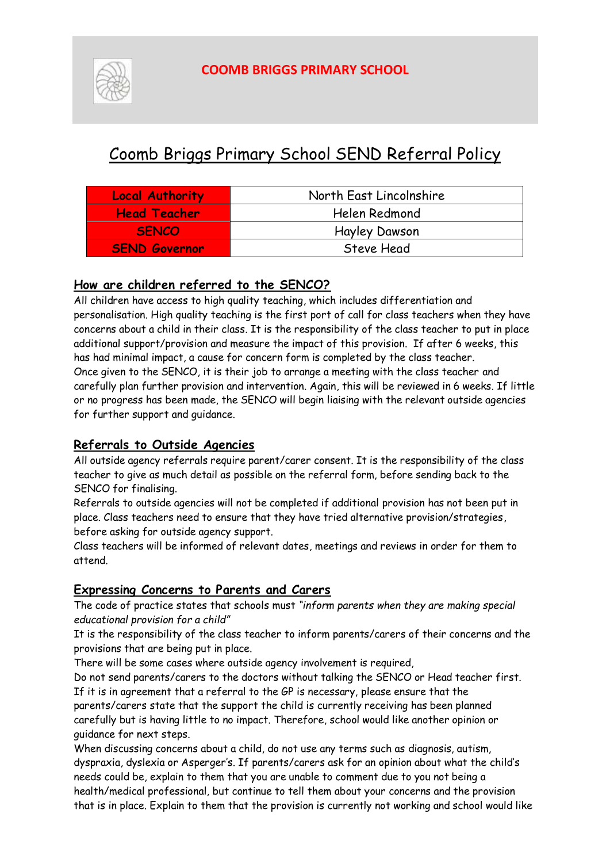

# Coomb Briggs Primary School SEND Referral Policy

| <b>Local Authority</b> | North East Lincolnshire |
|------------------------|-------------------------|
| <b>Head Teacher</b>    | Helen Redmond           |
| <b>SENCO</b>           | <b>Hayley Dawson</b>    |
| <b>SEND Governor</b>   | Steve Head              |

#### **How are children referred to the SENCO?**

All children have access to high quality teaching, which includes differentiation and personalisation. High quality teaching is the first port of call for class teachers when they have concerns about a child in their class. It is the responsibility of the class teacher to put in place additional support/provision and measure the impact of this provision. If after 6 weeks, this has had minimal impact, a cause for concern form is completed by the class teacher. Once given to the SENCO, it is their job to arrange a meeting with the class teacher and carefully plan further provision and intervention. Again, this will be reviewed in 6 weeks. If little or no progress has been made, the SENCO will begin liaising with the relevant outside agencies for further support and guidance.

#### **Referrals to Outside Agencies**

All outside agency referrals require parent/carer consent. It is the responsibility of the class teacher to give as much detail as possible on the referral form, before sending back to the SENCO for finalising.

Referrals to outside agencies will not be completed if additional provision has not been put in place. Class teachers need to ensure that they have tried alternative provision/strategies, before asking for outside agency support.

Class teachers will be informed of relevant dates, meetings and reviews in order for them to attend.

#### **Expressing Concerns to Parents and Carers**

The code of practice states that schools must *"inform parents when they are making special educational provision for a child"*

It is the responsibility of the class teacher to inform parents/carers of their concerns and the provisions that are being put in place.

There will be some cases where outside agency involvement is required,

Do not send parents/carers to the doctors without talking the SENCO or Head teacher first. If it is in agreement that a referral to the GP is necessary, please ensure that the parents/carers state that the support the child is currently receiving has been planned carefully but is having little to no impact. Therefore, school would like another opinion or guidance for next steps.

When discussing concerns about a child, do not use any terms such as diagnosis, autism, dyspraxia, dyslexia or Asperger's. If parents/carers ask for an opinion about what the child's needs could be, explain to them that you are unable to comment due to you not being a health/medical professional, but continue to tell them about your concerns and the provision that is in place. Explain to them that the provision is currently not working and school would like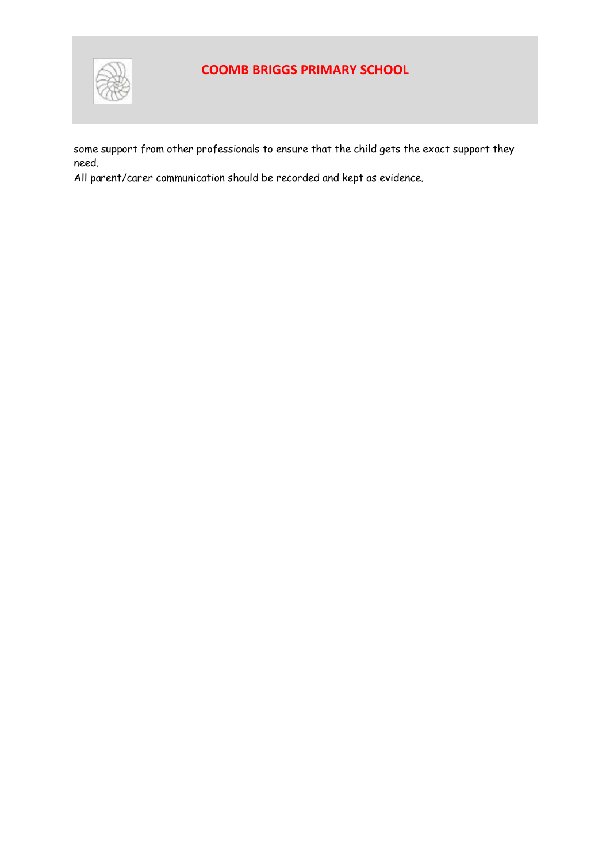

some support from other professionals to ensure that the child gets the exact support they need.

All parent/carer communication should be recorded and kept as evidence.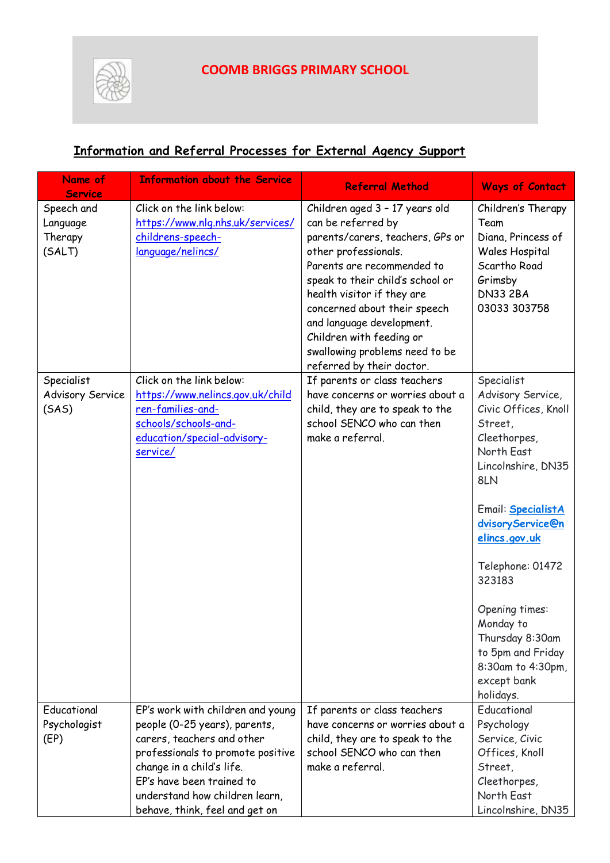

# **Information and Referral Processes for External Agency Support**

| Name of<br><b>Service</b> | <b>Information about the Service</b>                  | <b>Referral Method</b>                                           | <b>Ways of Contact</b>                    |
|---------------------------|-------------------------------------------------------|------------------------------------------------------------------|-------------------------------------------|
| Speech and                | Click on the link below:                              | Children aged 3 - 17 years old                                   | Children's Therapy                        |
| Language                  | https://www.nlq.nhs.uk/services/                      | can be referred by                                               | Team                                      |
| Therapy                   | childrens-speech-                                     | parents/carers, teachers, GPs or                                 | Diana, Princess of                        |
| (SALT)                    | language/nelincs/                                     | other professionals.                                             | Wales Hospital                            |
|                           |                                                       | Parents are recommended to                                       | Scartho Road                              |
|                           |                                                       | speak to their child's school or                                 | Grimsby                                   |
|                           |                                                       | health visitor if they are                                       | <b>DN33 2BA</b>                           |
|                           |                                                       | concerned about their speech                                     | 03033 303758                              |
|                           |                                                       | and language development.                                        |                                           |
|                           |                                                       | Children with feeding or                                         |                                           |
|                           |                                                       | swallowing problems need to be                                   |                                           |
|                           |                                                       | referred by their doctor.                                        |                                           |
| Specialist                | Click on the link below:                              | If parents or class teachers<br>have concerns or worries about a | Specialist                                |
| Advisory Service<br>(SAS) | https://www.nelincs.gov.uk/child<br>ren-families-and- | child, they are to speak to the                                  | Advisory Service,<br>Civic Offices, Knoll |
|                           | schools/schools-and-                                  | school SENCO who can then                                        | Street,                                   |
|                           | education/special-advisory-                           | make a referral.                                                 | Cleethorpes,                              |
|                           | service/                                              |                                                                  | North East                                |
|                           |                                                       |                                                                  | Lincolnshire, DN35                        |
|                           |                                                       |                                                                  | 8LN                                       |
|                           |                                                       |                                                                  |                                           |
|                           |                                                       |                                                                  | Email: <b>SpecialistA</b>                 |
|                           |                                                       |                                                                  | dvisoryService@n                          |
|                           |                                                       |                                                                  | elincs.gov.uk                             |
|                           |                                                       |                                                                  | Telephone: 01472                          |
|                           |                                                       |                                                                  | 323183                                    |
|                           |                                                       |                                                                  |                                           |
|                           |                                                       |                                                                  | Opening times:                            |
|                           |                                                       |                                                                  | Monday to                                 |
|                           |                                                       |                                                                  | Thursday 8:30am                           |
|                           |                                                       |                                                                  | to 5pm and Friday                         |
|                           |                                                       |                                                                  | 8:30am to 4:30pm,<br>except bank          |
|                           |                                                       |                                                                  | holidays.                                 |
| Educational               | EP's work with children and young                     | If parents or class teachers                                     | Educational                               |
| Psychologist              | people (0-25 years), parents,                         | have concerns or worries about a                                 | Psychology                                |
| (EP)                      | carers, teachers and other                            | child, they are to speak to the                                  | Service, Civic                            |
|                           | professionals to promote positive                     | school SENCO who can then                                        | Offices, Knoll                            |
|                           | change in a child's life.                             | make a referral.                                                 | Street,                                   |
|                           | EP's have been trained to                             |                                                                  | Cleethorpes,                              |
|                           | understand how children learn,                        |                                                                  | North East                                |
|                           | behave, think, feel and get on                        |                                                                  | Lincolnshire, DN35                        |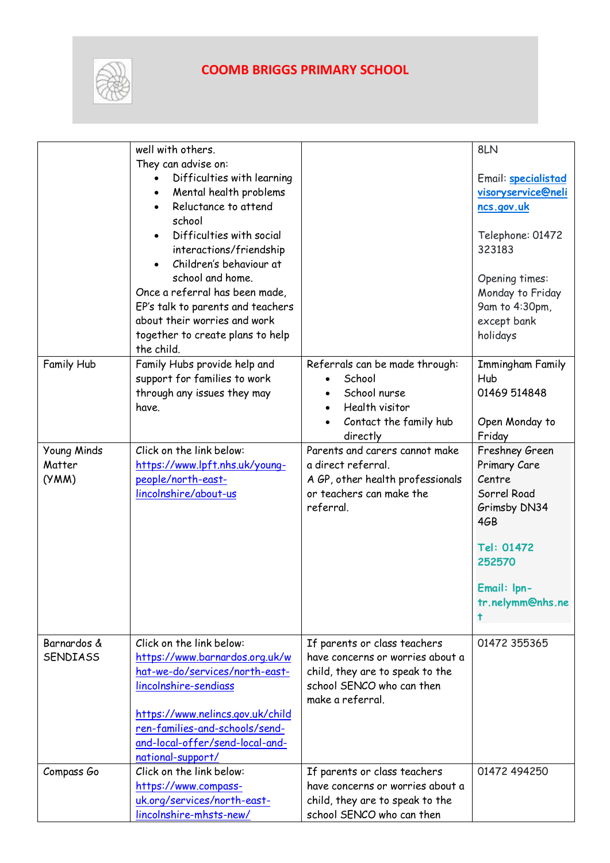

|                 | well with others.                 |                                  | 8LN                 |
|-----------------|-----------------------------------|----------------------------------|---------------------|
|                 | They can advise on:               |                                  |                     |
|                 | Difficulties with learning        |                                  | Email: specialistad |
|                 | Mental health problems            |                                  | visoryservice@neli  |
|                 | Reluctance to attend              |                                  | ncs.gov.uk          |
|                 | school                            |                                  |                     |
|                 | Difficulties with social          |                                  | Telephone: 01472    |
|                 | interactions/friendship           |                                  | 323183              |
|                 | Children's behaviour at           |                                  |                     |
|                 | school and home.                  |                                  | Opening times:      |
|                 | Once a referral has been made,    |                                  | Monday to Friday    |
|                 | EP's talk to parents and teachers |                                  | 9am to 4:30pm,      |
|                 | about their worries and work      |                                  | except bank         |
|                 | together to create plans to help  |                                  | holidays            |
|                 | the child.                        |                                  |                     |
| Family Hub      | Family Hubs provide help and      | Referrals can be made through:   | Immingham Family    |
|                 | support for families to work      | School                           | Hub                 |
|                 | through any issues they may       | School nurse                     | 01469 514848        |
|                 | have.                             | Health visitor                   |                     |
|                 |                                   | Contact the family hub           | Open Monday to      |
|                 |                                   | directly                         | Friday              |
| Young Minds     | Click on the link below:          | Parents and carers cannot make   | Freshney Green      |
| Matter          | https://www.lpft.nhs.uk/young-    | a direct referral.               | Primary Care        |
| (YMM)           | people/north-east-                | A GP, other health professionals | Centre              |
|                 | lincolnshire/about-us             | or teachers can make the         | Sorrel Road         |
|                 |                                   | referral.                        | Grimsby DN34        |
|                 |                                   |                                  | 4GB                 |
|                 |                                   |                                  |                     |
|                 |                                   |                                  | Tel: 01472          |
|                 |                                   |                                  | 252570              |
|                 |                                   |                                  |                     |
|                 |                                   |                                  | Email: Ipn-         |
|                 |                                   |                                  | tr.nelymm@nhs.ne    |
|                 |                                   |                                  | t                   |
| Barnardos &     | Click on the link below:          | If parents or class teachers     | 01472 355365        |
| <b>SENDIASS</b> | https://www.barnardos.org.uk/w    | have concerns or worries about a |                     |
|                 | hat-we-do/services/north-east-    | child, they are to speak to the  |                     |
|                 | lincolnshire-sendiass             | school SENCO who can then        |                     |
|                 |                                   | make a referral.                 |                     |
|                 | https://www.nelincs.gov.uk/child  |                                  |                     |
|                 | ren-families-and-schools/send-    |                                  |                     |
|                 | and-local-offer/send-local-and-   |                                  |                     |
|                 | national-support/                 |                                  |                     |
| Compass Go      | Click on the link below:          | If parents or class teachers     | 01472 494250        |
|                 | https://www.compass-              | have concerns or worries about a |                     |
|                 | uk.org/services/north-east-       | child, they are to speak to the  |                     |
|                 | lincolnshire-mhsts-new/           | school SENCO who can then        |                     |
|                 |                                   |                                  |                     |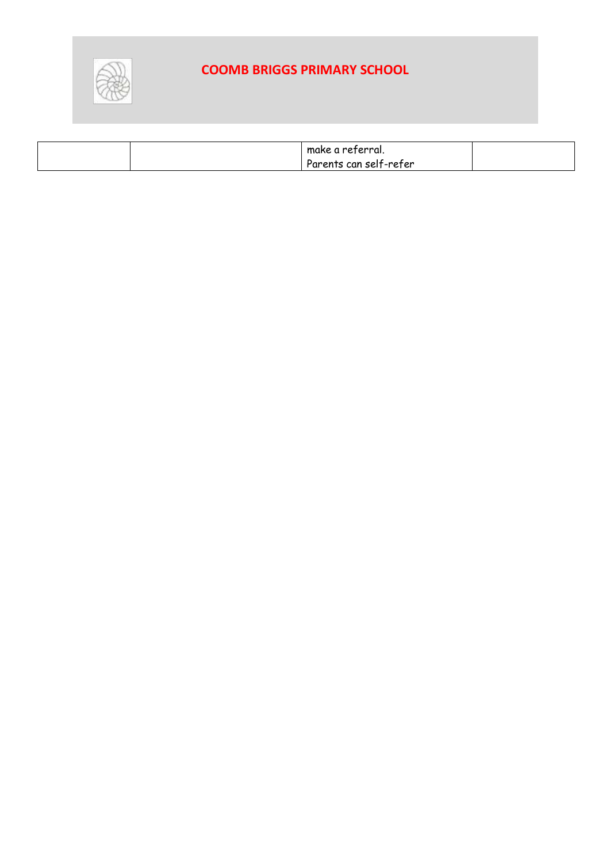

| make a referral.       |  |
|------------------------|--|
| Parents can self-refer |  |